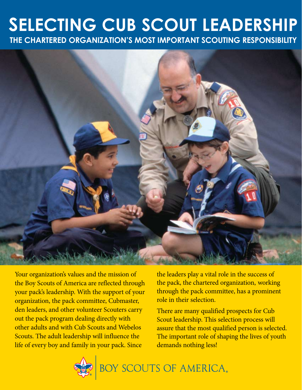### **Selecting Cub Scout Leadership The Chartered Organization's Most Important Scouting Responsibility**



Your organization's values and the mission of the Boy Scouts of America are reflected through your pack's leadership. With the support of your organization, the pack committee, Cubmaster, den leaders, and other volunteer Scouters carry out the pack program dealing directly with other adults and with Cub Scouts and Webelos Scouts. The adult leadership will influence the life of every boy and family in your pack. Since

the leaders play a vital role in the success of the pack, the chartered organization, working through the pack committee, has a prominent role in their selection.

There are many qualified prospects for Cub Scout leadership. This selection process will assure that the most qualified person is selected. The important role of shaping the lives of youth demands nothing less!



BOY SCOUTS OF AMERICA.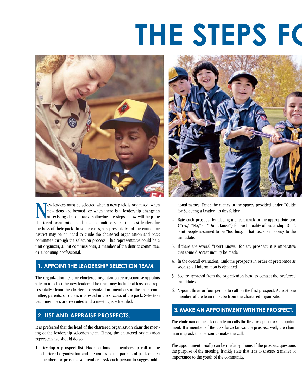# **THE STEPS FOR**



New leaders must be selected when a new pack is organized, when<br>new dens are formed, or when there is a leadership change in<br>an existing den or pack. Following the steps below will help the<br>chartered organization and pack new dens are formed, or when there is a leadership change in an existing den or pack. Following the steps below will help the chartered organization and pack committee select the best leaders for the boys of their pack. In some cases, a representative of the council or district may be on hand to guide the chartered organization and pack committee through the selection process. This representative could be a unit organizer, a unit commissioner, a member of the district committee, or a Scouting professional.

#### **1. Appoint the Leadership Selection Team.**

The organization head or chartered organization representative appoints a team to select the new leaders. The team may include at least one representative from the chartered organization, members of the pack committee, parents, or others interested in the success of the pack. Selection team members are recruited and a meeting is scheduled.

#### **2. List and Appraise Prospects.**

It is preferred that the head of the chartered organization chair the meeting of the leadership selection team. If not, the chartered organization representative should do so.

1. Develop a prospect list. Have on hand a membership roll of the chartered organization and the names of the parents of pack or den members or prospective members. Ask each person to suggest addi-



tional names. Enter the names in the spaces provided under "Guide for Selecting a Leader" in this folder.

- 2. Rate each prospect by placing a check mark in the appropriate box ("Yes,'' "No,'' or "Don't Know'') for each quality of leadership. Don't omit people assumed to be "too busy.'' That decision belongs to the candidate.
- 3. If there are several "Don't Knows" for any prospect, it is imperative that some discreet inquiry be made.
- 4. In the overall evaluation, rank the prospects in order of preference as soon as all information is obtained.
- 5. Secure approval from the organization head to contact the preferred candidates.
- 6. Appoint three or four people to call on the first prospect. At least one member of the team must be from the chartered organization.

### **3. Make an Appointment with the Prospect.**

The chairman of the selection team calls the first prospect for an appointment. If a member of the task force knows the prospect well, the chairman may ask this person to make the call.

The appointment usually can be made by phone. If the prospect questions the purpose of the meeting, frankly state that it is to discuss a matter of importance to the youth of the community.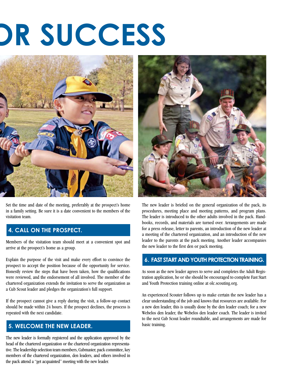# **The SUCCESS**



Set the time and date of the meeting, preferably at the prospect's home in a family setting. Be sure it is a date convenient to the members of the visitation team.

### **4. Call on the Prospect.**

Members of the visitation team should meet at a convenient spot and arrive at the prospect's home as a group.

Explain the purpose of the visit and make every effort to convince the prospect to accept the position because of the opportunity for service. Honestly review the steps that have been taken, how the qualifications were reviewed, and the endorsement of all involved. The member of the chartered organization extends the invitation to serve the organization as a Cub Scout leader and pledges the organization's full support.

If the prospect cannot give a reply during the visit, a follow-up contact should be made within 24 hours. If the prospect declines, the process is repeated with the next candidate.

### **5. Welcome the New Leader.**

The new leader is formally registered and the application approved by the head of the chartered organization or the chartered organization representative. The leadership selection team members, Cubmaster, pack committee, key members of the chartered organization, den leaders, and others involved in the pack attend a "get acquainted" meeting with the new leader.



The new leader is briefed on the general organization of the pack, its procedures, meeting place and meeting patterns, and program plans. The leader is introduced to the other adults involved in the pack. Handbooks, records, and materials are turned over. Arrangements are made for a press release, letter to parents, an introduction of the new leader at a meeting of the chartered organization, and an introduction of the new leader to the parents at the pack meeting. Another leader accompanies the new leader to the first den or pack meeting.

### **6. Fast Start and youth protection Training.**

As soon as the new leader agrees to serve and completes the Adult Registration application, he or she should be encouraged to complete Fast Start and Youth Protection training online at olc.scouting.org.

An experienced Scouter follows up to make certain the new leader has a clear understanding of the job and knows that resources are available. For a new den leader, this is usually done by the den leader coach; for a new Webelos den leader, the Webelos den leader coach. The leader is invited to the next Cub Scout leader roundtable, and arrangements are made for basic training.